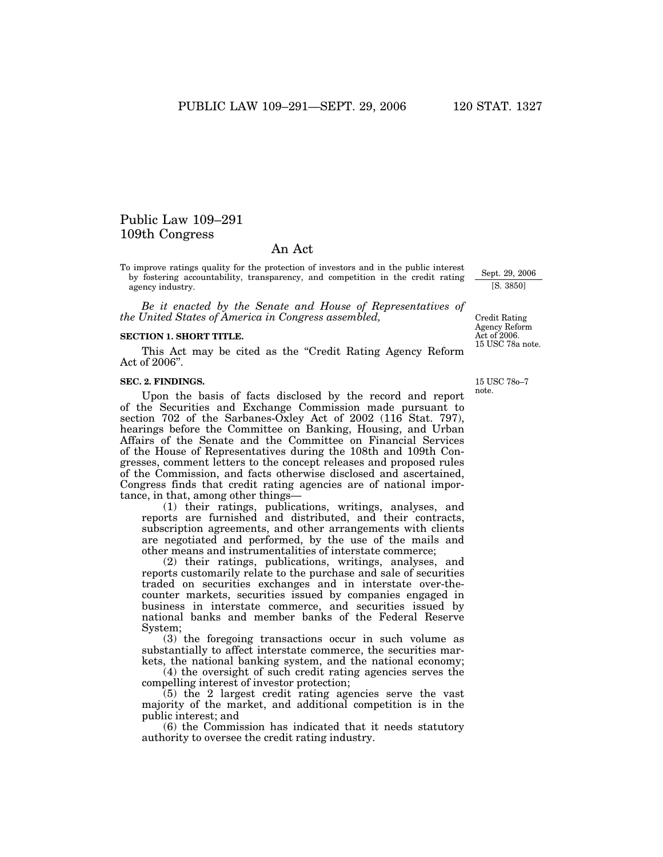## Public Law 109–291 109th Congress

### An Act

To improve ratings quality for the protection of investors and in the public interest by fostering accountability, transparency, and competition in the credit rating agency industry.

*Be it enacted by the Senate and House of Representatives of the United States of America in Congress assembled,* 

#### **SECTION 1. SHORT TITLE.**

This Act may be cited as the "Credit Rating Agency Reform" Act of 2006''.

#### **SEC. 2. FINDINGS.**

Upon the basis of facts disclosed by the record and report of the Securities and Exchange Commission made pursuant to section 702 of the Sarbanes-Oxley Act of 2002 (116 Stat. 797), hearings before the Committee on Banking, Housing, and Urban Affairs of the Senate and the Committee on Financial Services of the House of Representatives during the 108th and 109th Congresses, comment letters to the concept releases and proposed rules of the Commission, and facts otherwise disclosed and ascertained, Congress finds that credit rating agencies are of national importance, in that, among other things—

(1) their ratings, publications, writings, analyses, and reports are furnished and distributed, and their contracts, subscription agreements, and other arrangements with clients are negotiated and performed, by the use of the mails and other means and instrumentalities of interstate commerce;

(2) their ratings, publications, writings, analyses, and reports customarily relate to the purchase and sale of securities traded on securities exchanges and in interstate over-thecounter markets, securities issued by companies engaged in business in interstate commerce, and securities issued by national banks and member banks of the Federal Reserve System;

(3) the foregoing transactions occur in such volume as substantially to affect interstate commerce, the securities markets, the national banking system, and the national economy;

(4) the oversight of such credit rating agencies serves the compelling interest of investor protection;

(5) the 2 largest credit rating agencies serve the vast majority of the market, and additional competition is in the public interest; and

(6) the Commission has indicated that it needs statutory authority to oversee the credit rating industry.

Credit Rating Agency Reform Act of 2006. 15 USC 78a note.

Sept. 29, 2006 [S. 3850]

15 USC 78o–7 note.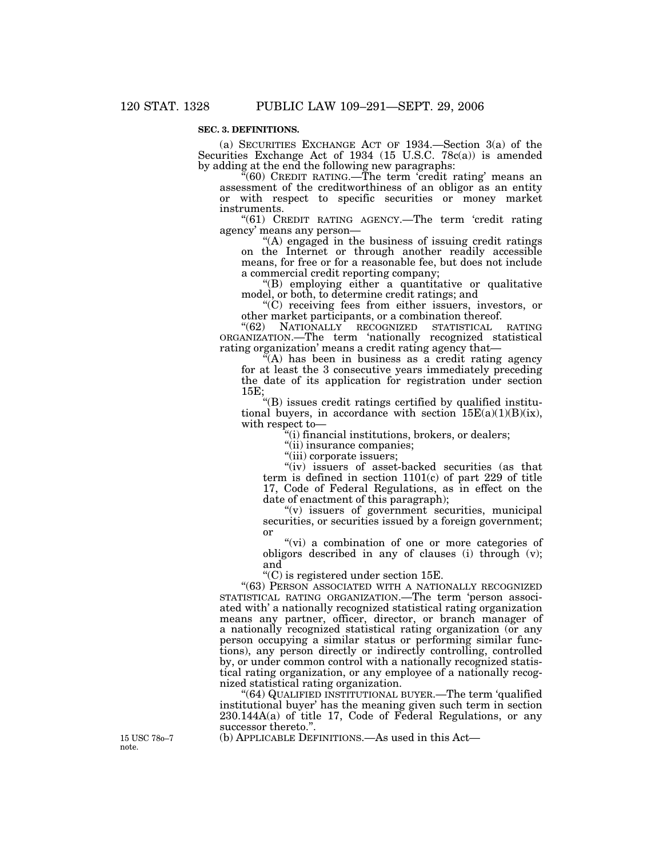#### **SEC. 3. DEFINITIONS.**

(a) SECURITIES EXCHANGE ACT OF 1934.—Section 3(a) of the Securities Exchange Act of 1934 (15 U.S.C. 78c(a)) is amended by adding at the end the following new paragraphs:

"(60) CREDIT RATING.—The term 'credit rating' means an assessment of the creditworthiness of an obligor as an entity or with respect to specific securities or money market instruments.

"(61) CREDIT RATING AGENCY.—The term 'credit rating agency' means any person—

''(A) engaged in the business of issuing credit ratings on the Internet or through another readily accessible means, for free or for a reasonable fee, but does not include a commercial credit reporting company;

''(B) employing either a quantitative or qualitative model, or both, to determine credit ratings; and

''(C) receiving fees from either issuers, investors, or other market participants, or a combination thereof.

''(62) NATIONALLY RECOGNIZED STATISTICAL RATING ORGANIZATION.—The term 'nationally recognized statistical rating organization' means a credit rating agency that—

 $K(A)$  has been in business as a credit rating agency for at least the 3 consecutive years immediately preceding the date of its application for registration under section 15E;

''(B) issues credit ratings certified by qualified institutional buyers, in accordance with section  $15E(a)(1)(B)(ix)$ , with respect to—

(i) financial institutions, brokers, or dealers;

"(ii) insurance companies;

"(iii) corporate issuers;

''(iv) issuers of asset-backed securities (as that term is defined in section 1101(c) of part 229 of title 17, Code of Federal Regulations, as in effect on the date of enactment of this paragraph);

 $''(v)$  issuers of government securities, municipal securities, or securities issued by a foreign government; or

''(vi) a combination of one or more categories of obligors described in any of clauses (i) through (v); and

 $(C)$  is registered under section 15E.

''(63) PERSON ASSOCIATED WITH A NATIONALLY RECOGNIZED STATISTICAL RATING ORGANIZATION.—The term 'person associated with' a nationally recognized statistical rating organization means any partner, officer, director, or branch manager of a nationally recognized statistical rating organization (or any person occupying a similar status or performing similar functions), any person directly or indirectly controlling, controlled by, or under common control with a nationally recognized statistical rating organization, or any employee of a nationally recognized statistical rating organization.

''(64) QUALIFIED INSTITUTIONAL BUYER.—The term 'qualified institutional buyer' has the meaning given such term in section 230.144A(a) of title 17, Code of Federal Regulations, or any successor thereto.''.

15 USC 78o–7 (b) APPLICABLE DEFINITIONS.—As used in this Act—

note.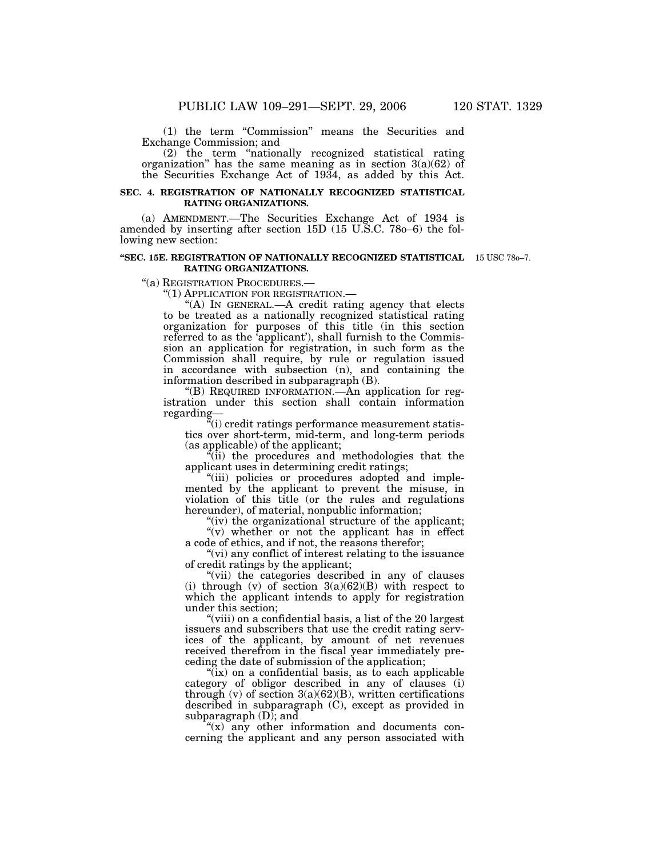(1) the term ''Commission'' means the Securities and Exchange Commission; and

(2) the term ''nationally recognized statistical rating organization" has the same meaning as in section  $3(a)(62)$  of the Securities Exchange Act of 1934, as added by this Act.

#### **SEC. 4. REGISTRATION OF NATIONALLY RECOGNIZED STATISTICAL RATING ORGANIZATIONS.**

(a) AMENDMENT.—The Securities Exchange Act of 1934 is amended by inserting after section 15D (15 U.S.C. 78o–6) the following new section:

#### **''SEC. 15E. REGISTRATION OF NATIONALLY RECOGNIZED STATISTICAL** 15 USC 78o–7. **RATING ORGANIZATIONS.**

''(a) REGISTRATION PROCEDURES.—

''(1) APPLICATION FOR REGISTRATION.—

"(A) IN GENERAL.—A credit rating agency that elects to be treated as a nationally recognized statistical rating organization for purposes of this title (in this section referred to as the 'applicant'), shall furnish to the Commission an application for registration, in such form as the Commission shall require, by rule or regulation issued in accordance with subsection (n), and containing the information described in subparagraph (B).

''(B) REQUIRED INFORMATION.—An application for registration under this section shall contain information regarding—

''(i) credit ratings performance measurement statistics over short-term, mid-term, and long-term periods (as applicable) of the applicant;

''(ii) the procedures and methodologies that the applicant uses in determining credit ratings;

''(iii) policies or procedures adopted and implemented by the applicant to prevent the misuse, in violation of this title (or the rules and regulations hereunder), of material, nonpublic information;

"(iv) the organizational structure of the applicant; " $(v)$  whether or not the applicant has in effect

a code of ethics, and if not, the reasons therefor;

"(vi) any conflict of interest relating to the issuance" of credit ratings by the applicant;

"(vii) the categories described in any of clauses" (i) through (v) of section  $3(a)(62)(B)$  with respect to which the applicant intends to apply for registration under this section;

"(viii) on a confidential basis, a list of the 20 largest issuers and subscribers that use the credit rating services of the applicant, by amount of net revenues received therefrom in the fiscal year immediately preceding the date of submission of the application;

 $\sqrt[n]{i}$  on a confidential basis, as to each applicable category of obligor described in any of clauses (i) through  $(v)$  of section  $3(a)(62)(B)$ , written certifications described in subparagraph (C), except as provided in subparagraph (D); and

 $(x)$  any other information and documents concerning the applicant and any person associated with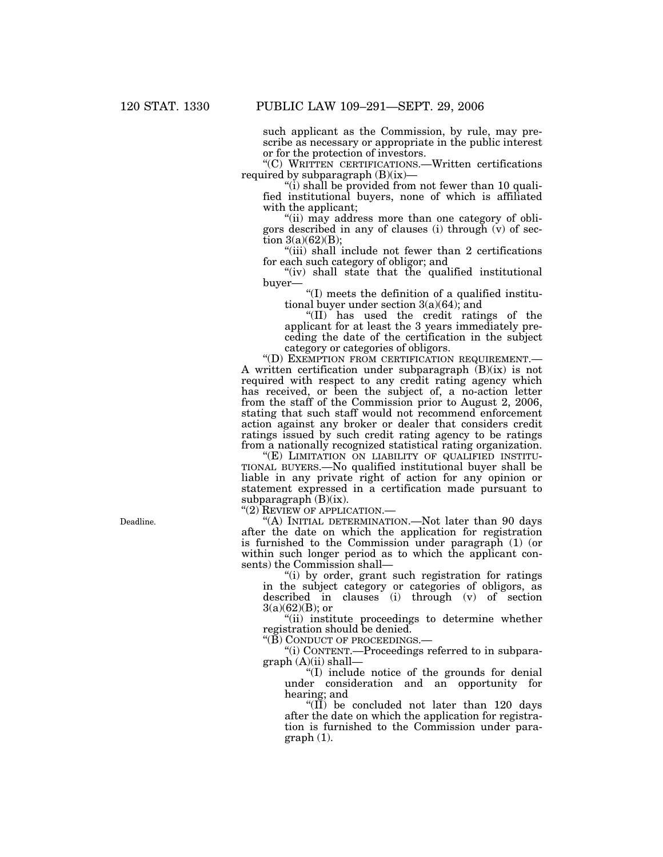such applicant as the Commission, by rule, may prescribe as necessary or appropriate in the public interest or for the protection of investors.

''(C) WRITTEN CERTIFICATIONS.—Written certifications required by subparagraph  $(B)(ix)$ —

" $(i)$  shall be provided from not fewer than 10 qualified institutional buyers, none of which is affiliated with the applicant;

"(ii) may address more than one category of obligors described in any of clauses (i) through (v) of section  $3(a)(62)(B)$ ;

"(iii) shall include not fewer than 2 certifications for each such category of obligor; and

"(iv) shall state that the qualified institutional buyer—

''(I) meets the definition of a qualified institutional buyer under section 3(a)(64); and

''(II) has used the credit ratings of the applicant for at least the 3 years immediately preceding the date of the certification in the subject category or categories of obligors.

"(D) EXEMPTION FROM CERTIFICATION REQUIREMENT.-A written certification under subparagraph (B)(ix) is not required with respect to any credit rating agency which has received, or been the subject of, a no-action letter from the staff of the Commission prior to August 2, 2006, stating that such staff would not recommend enforcement action against any broker or dealer that considers credit ratings issued by such credit rating agency to be ratings from a nationally recognized statistical rating organization.

"(E) LIMITATION ON LIABILITY OF QUALIFIED INSTITU-TIONAL BUYERS.—No qualified institutional buyer shall be liable in any private right of action for any opinion or statement expressed in a certification made pursuant to subparagraph  $(B)(ix)$ .

''(2) REVIEW OF APPLICATION.—

''(A) INITIAL DETERMINATION.—Not later than 90 days after the date on which the application for registration is furnished to the Commission under paragraph (1) (or within such longer period as to which the applicant consents) the Commission shall—

''(i) by order, grant such registration for ratings in the subject category or categories of obligors, as described in clauses (i) through (v) of section  $3(a)(62)(B)$ ; or

"(ii) institute proceedings to determine whether registration should be denied.

''(B) CONDUCT OF PROCEEDINGS.—

''(i) CONTENT.—Proceedings referred to in subpara $graph (A)(ii) shall-$ 

 $f(T)$  include notice of the grounds for denial under consideration and an opportunity for hearing; and

" $(\overline{II})$  be concluded not later than 120 days after the date on which the application for registration is furnished to the Commission under para $graph(1)$ .

Deadline.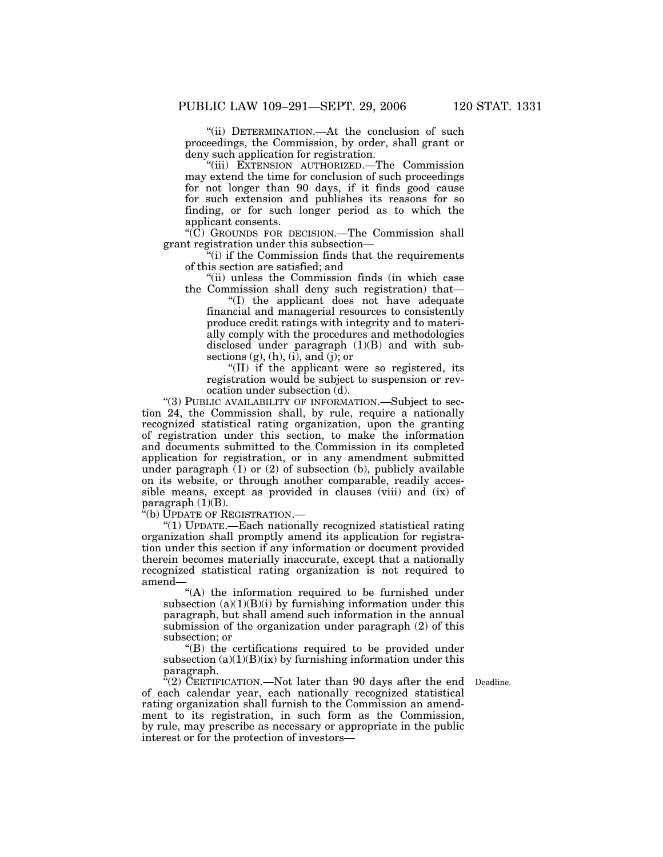''(ii) DETERMINATION.—At the conclusion of such proceedings, the Commission, by order, shall grant or deny such application for registration.

''(iii) EXTENSION AUTHORIZED.—The Commission may extend the time for conclusion of such proceedings for not longer than 90 days, if it finds good cause for such extension and publishes its reasons for so finding, or for such longer period as to which the applicant consents.

" $(\tilde{C})$  GROUNDS FOR DECISION.—The Commission shall grant registration under this subsection—

 $\tilde{f}(i)$  if the Commission finds that the requirements of this section are satisfied; and

''(ii) unless the Commission finds (in which case the Commission shall deny such registration) that—

''(I) the applicant does not have adequate financial and managerial resources to consistently produce credit ratings with integrity and to materially comply with the procedures and methodologies disclosed under paragraph (1)(B) and with subsections  $(g)$ ,  $(h)$ ,  $(i)$ , and  $(j)$ ; or

''(II) if the applicant were so registered, its registration would be subject to suspension or revocation under subsection (d).

"(3) PUBLIC AVAILABILITY OF INFORMATION.—Subject to section 24, the Commission shall, by rule, require a nationally recognized statistical rating organization, upon the granting of registration under this section, to make the information and documents submitted to the Commission in its completed application for registration, or in any amendment submitted under paragraph  $(1)$  or  $(2)$  of subsection  $(b)$ , publicly available on its website, or through another comparable, readily accessible means, except as provided in clauses (viii) and (ix) of paragraph (1)(B).

''(b) UPDATE OF REGISTRATION.—

''(1) UPDATE.—Each nationally recognized statistical rating organization shall promptly amend its application for registration under this section if any information or document provided therein becomes materially inaccurate, except that a nationally recognized statistical rating organization is not required to amend—

"(A) the information required to be furnished under subsection  $(a)(1)(B)(i)$  by furnishing information under this paragraph, but shall amend such information in the annual submission of the organization under paragraph (2) of this subsection; or

''(B) the certifications required to be provided under subsection  $(a)(1)(B)(ix)$  by furnishing information under this paragraph.

"(2) CERTIFICATION.—Not later than 90 days after the end Deadline. of each calendar year, each nationally recognized statistical rating organization shall furnish to the Commission an amendment to its registration, in such form as the Commission, by rule, may prescribe as necessary or appropriate in the public interest or for the protection of investors—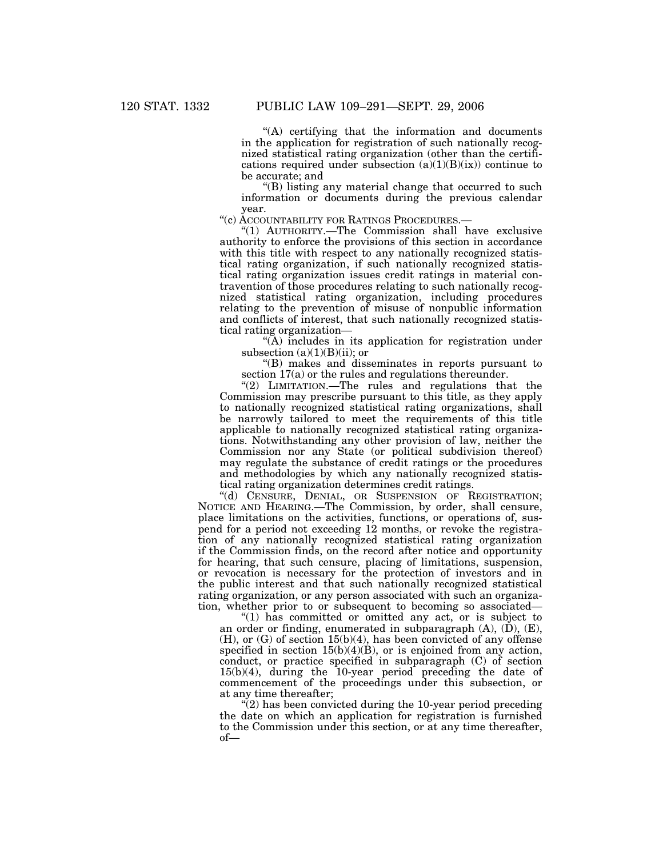"(A) certifying that the information and documents in the application for registration of such nationally recognized statistical rating organization (other than the certifications required under subsection  $(a)(1)(B)(ix))$  continue to be accurate; and

''(B) listing any material change that occurred to such information or documents during the previous calendar year.

''(c) ACCOUNTABILITY FOR RATINGS PROCEDURES.—

''(1) AUTHORITY.—The Commission shall have exclusive authority to enforce the provisions of this section in accordance with this title with respect to any nationally recognized statistical rating organization, if such nationally recognized statistical rating organization issues credit ratings in material contravention of those procedures relating to such nationally recognized statistical rating organization, including procedures relating to the prevention of misuse of nonpublic information and conflicts of interest, that such nationally recognized statistical rating organization—

''(A) includes in its application for registration under subsection  $(a)(1)(B)(ii)$ ; or

''(B) makes and disseminates in reports pursuant to section 17(a) or the rules and regulations thereunder.

" $(2)$  LIMITATION.—The rules and regulations that the Commission may prescribe pursuant to this title, as they apply to nationally recognized statistical rating organizations, shall be narrowly tailored to meet the requirements of this title applicable to nationally recognized statistical rating organizations. Notwithstanding any other provision of law, neither the Commission nor any State (or political subdivision thereof) may regulate the substance of credit ratings or the procedures and methodologies by which any nationally recognized statistical rating organization determines credit ratings.

''(d) CENSURE, DENIAL, OR SUSPENSION OF REGISTRATION; NOTICE AND HEARING.—The Commission, by order, shall censure, place limitations on the activities, functions, or operations of, suspend for a period not exceeding 12 months, or revoke the registration of any nationally recognized statistical rating organization if the Commission finds, on the record after notice and opportunity for hearing, that such censure, placing of limitations, suspension, or revocation is necessary for the protection of investors and in the public interest and that such nationally recognized statistical rating organization, or any person associated with such an organization, whether prior to or subsequent to becoming so associated—

''(1) has committed or omitted any act, or is subject to an order or finding, enumerated in subparagraph (A), (D), (E), (H), or (G) of section 15(b)(4), has been convicted of any offense specified in section  $15(b)(4)(B)$ , or is enjoined from any action, conduct, or practice specified in subparagraph (C) of section 15(b)(4), during the 10-year period preceding the date of commencement of the proceedings under this subsection, or at any time thereafter;

 $\degree$ (2) has been convicted during the 10-year period preceding the date on which an application for registration is furnished to the Commission under this section, or at any time thereafter, of—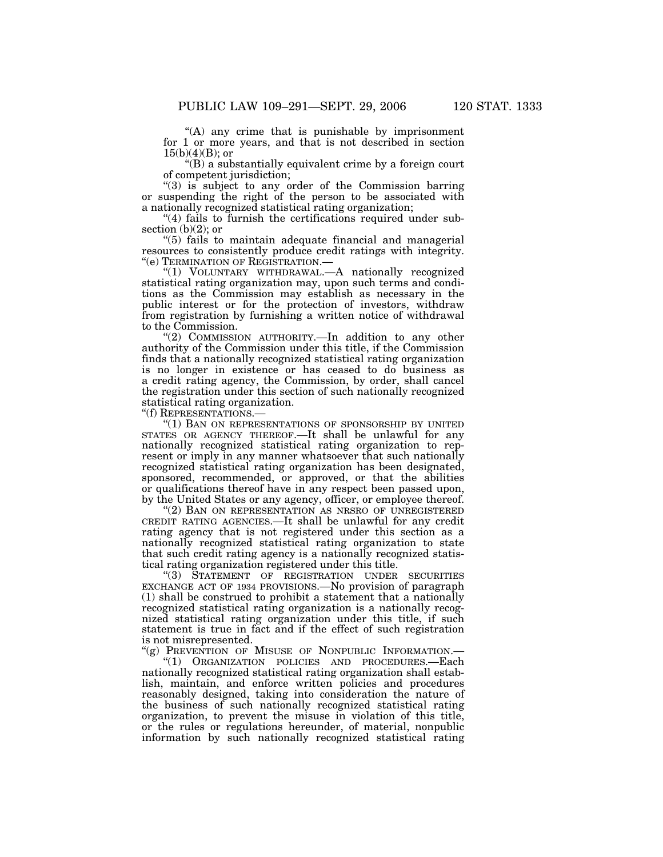"(A) any crime that is punishable by imprisonment for 1 or more years, and that is not described in section  $15(b)(4)(B)$ ; or

''(B) a substantially equivalent crime by a foreign court of competent jurisdiction;

''(3) is subject to any order of the Commission barring or suspending the right of the person to be associated with a nationally recognized statistical rating organization;

"(4) fails to furnish the certifications required under subsection  $(b)(2)$ ; or

''(5) fails to maintain adequate financial and managerial resources to consistently produce credit ratings with integrity.<br>"(e) TERMINATION OF REGISTRATION.—

"(1) VOLUNTARY WITHDRAWAL.—A nationally recognized statistical rating organization may, upon such terms and conditions as the Commission may establish as necessary in the public interest or for the protection of investors, withdraw from registration by furnishing a written notice of withdrawal to the Commission.

''(2) COMMISSION AUTHORITY.—In addition to any other authority of the Commission under this title, if the Commission finds that a nationally recognized statistical rating organization is no longer in existence or has ceased to do business as a credit rating agency, the Commission, by order, shall cancel the registration under this section of such nationally recognized statistical rating organization.

''(f) REPRESENTATIONS.—

''(1) BAN ON REPRESENTATIONS OF SPONSORSHIP BY UNITED STATES OR AGENCY THEREOF.—It shall be unlawful for any nationally recognized statistical rating organization to represent or imply in any manner whatsoever that such nationally recognized statistical rating organization has been designated, sponsored, recommended, or approved, or that the abilities or qualifications thereof have in any respect been passed upon, by the United States or any agency, officer, or employee thereof.

''(2) BAN ON REPRESENTATION AS NRSRO OF UNREGISTERED CREDIT RATING AGENCIES.—It shall be unlawful for any credit rating agency that is not registered under this section as a nationally recognized statistical rating organization to state that such credit rating agency is a nationally recognized statistical rating organization registered under this title.

''(3) STATEMENT OF REGISTRATION UNDER SECURITIES EXCHANGE ACT OF 1934 PROVISIONS.—No provision of paragraph (1) shall be construed to prohibit a statement that a nationally recognized statistical rating organization is a nationally recognized statistical rating organization under this title, if such statement is true in fact and if the effect of such registration is not misrepresented.

"(g) PREVENTION OF MISUSE OF NONPUBLIC INFORMATION.

''(1) ORGANIZATION POLICIES AND PROCEDURES.—Each nationally recognized statistical rating organization shall establish, maintain, and enforce written policies and procedures reasonably designed, taking into consideration the nature of the business of such nationally recognized statistical rating organization, to prevent the misuse in violation of this title, or the rules or regulations hereunder, of material, nonpublic information by such nationally recognized statistical rating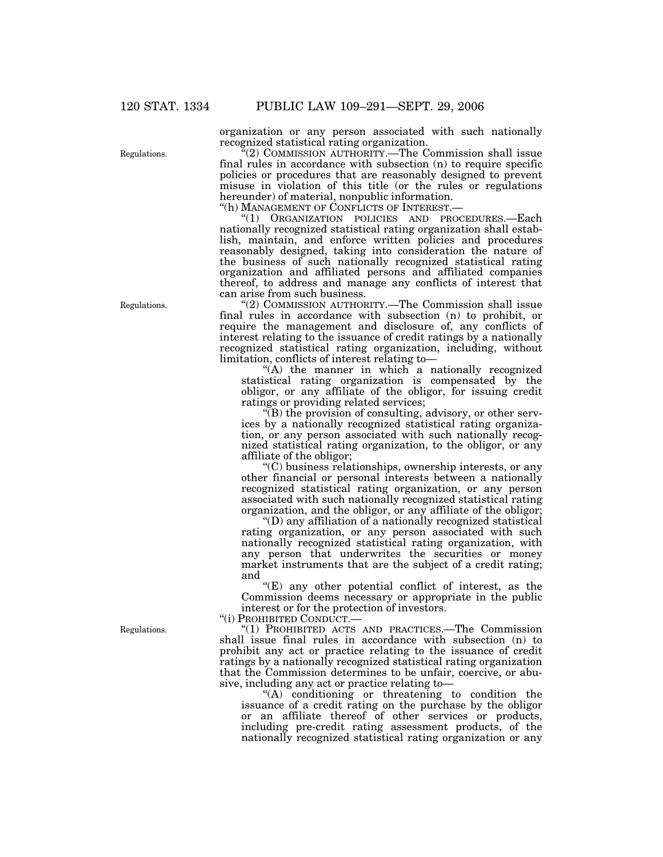organization or any person associated with such nationally recognized statistical rating organization.

 $\sqrt[4]{(2)}$  COMMISSION AUTHORITY.—The Commission shall issue final rules in accordance with subsection (n) to require specific policies or procedures that are reasonably designed to prevent misuse in violation of this title (or the rules or regulations hereunder) of material, nonpublic information.<br>"(h) MANAGEMENT OF CONFLICTS OF INTEREST.—

"(1) ORGANIZATION POLICIES AND PROCEDURES.—Each nationally recognized statistical rating organization shall establish, maintain, and enforce written policies and procedures reasonably designed, taking into consideration the nature of the business of such nationally recognized statistical rating organization and affiliated persons and affiliated companies thereof, to address and manage any conflicts of interest that can arise from such business.

''(2) COMMISSION AUTHORITY.—The Commission shall issue final rules in accordance with subsection (n) to prohibit, or require the management and disclosure of, any conflicts of interest relating to the issuance of credit ratings by a nationally recognized statistical rating organization, including, without limitation, conflicts of interest relating to—

"(A) the manner in which a nationally recognized statistical rating organization is compensated by the obligor, or any affiliate of the obligor, for issuing credit ratings or providing related services;

''(B) the provision of consulting, advisory, or other services by a nationally recognized statistical rating organization, or any person associated with such nationally recognized statistical rating organization, to the obligor, or any affiliate of the obligor;

''(C) business relationships, ownership interests, or any other financial or personal interests between a nationally recognized statistical rating organization, or any person associated with such nationally recognized statistical rating organization, and the obligor, or any affiliate of the obligor;

''(D) any affiliation of a nationally recognized statistical rating organization, or any person associated with such nationally recognized statistical rating organization, with any person that underwrites the securities or money market instruments that are the subject of a credit rating; and

''(E) any other potential conflict of interest, as the Commission deems necessary or appropriate in the public interest or for the protection of investors.

''(i) PROHIBITED CONDUCT.—

''(1) PROHIBITED ACTS AND PRACTICES.—The Commission shall issue final rules in accordance with subsection (n) to prohibit any act or practice relating to the issuance of credit ratings by a nationally recognized statistical rating organization that the Commission determines to be unfair, coercive, or abusive, including any act or practice relating to—

''(A) conditioning or threatening to condition the issuance of a credit rating on the purchase by the obligor or an affiliate thereof of other services or products, including pre-credit rating assessment products, of the nationally recognized statistical rating organization or any

Regulations.

Regulations.

Regulations.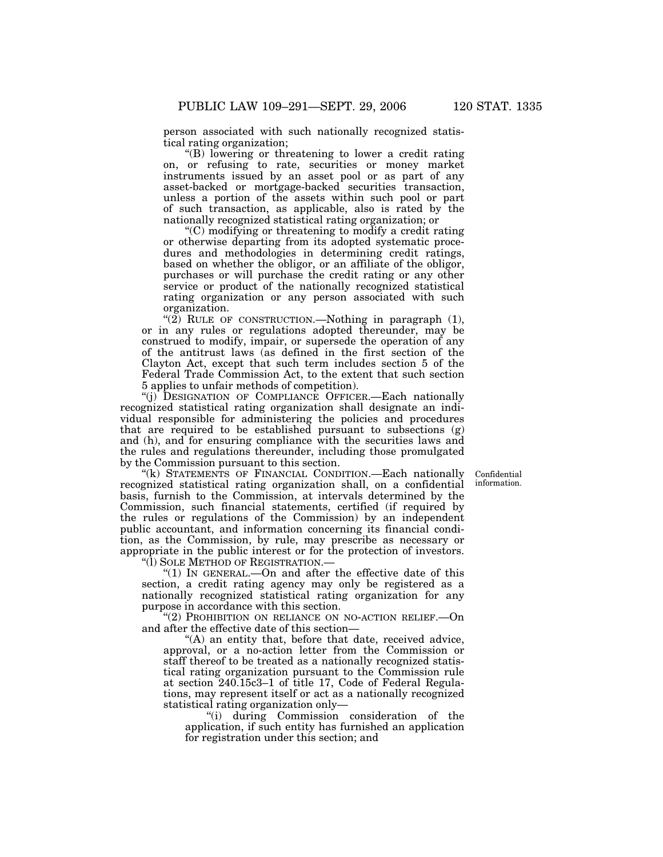person associated with such nationally recognized statistical rating organization;

''(B) lowering or threatening to lower a credit rating on, or refusing to rate, securities or money market instruments issued by an asset pool or as part of any asset-backed or mortgage-backed securities transaction, unless a portion of the assets within such pool or part of such transaction, as applicable, also is rated by the nationally recognized statistical rating organization; or

''(C) modifying or threatening to modify a credit rating or otherwise departing from its adopted systematic procedures and methodologies in determining credit ratings, based on whether the obligor, or an affiliate of the obligor, purchases or will purchase the credit rating or any other service or product of the nationally recognized statistical rating organization or any person associated with such organization.

"(2) RULE OF CONSTRUCTION.—Nothing in paragraph  $(1)$ , or in any rules or regulations adopted thereunder, may be construed to modify, impair, or supersede the operation of any of the antitrust laws (as defined in the first section of the Clayton Act, except that such term includes section 5 of the Federal Trade Commission Act, to the extent that such section 5 applies to unfair methods of competition).

''(j) DESIGNATION OF COMPLIANCE OFFICER.—Each nationally recognized statistical rating organization shall designate an individual responsible for administering the policies and procedures that are required to be established pursuant to subsections (g) and (h), and for ensuring compliance with the securities laws and the rules and regulations thereunder, including those promulgated by the Commission pursuant to this section.

''(k) STATEMENTS OF FINANCIAL CONDITION.—Each nationally Confidential recognized statistical rating organization shall, on a confidential basis, furnish to the Commission, at intervals determined by the Commission, such financial statements, certified (if required by the rules or regulations of the Commission) by an independent public accountant, and information concerning its financial condition, as the Commission, by rule, may prescribe as necessary or appropriate in the public interest or for the protection of investors.

''(l) SOLE METHOD OF REGISTRATION.—

" $(1)$  In GENERAL.—On and after the effective date of this section, a credit rating agency may only be registered as a nationally recognized statistical rating organization for any purpose in accordance with this section.

''(2) PROHIBITION ON RELIANCE ON NO-ACTION RELIEF.—On and after the effective date of this section—

"(A) an entity that, before that date, received advice, approval, or a no-action letter from the Commission or staff thereof to be treated as a nationally recognized statistical rating organization pursuant to the Commission rule at section 240.15c3–1 of title 17, Code of Federal Regulations, may represent itself or act as a nationally recognized statistical rating organization only—

''(i) during Commission consideration of the application, if such entity has furnished an application for registration under this section; and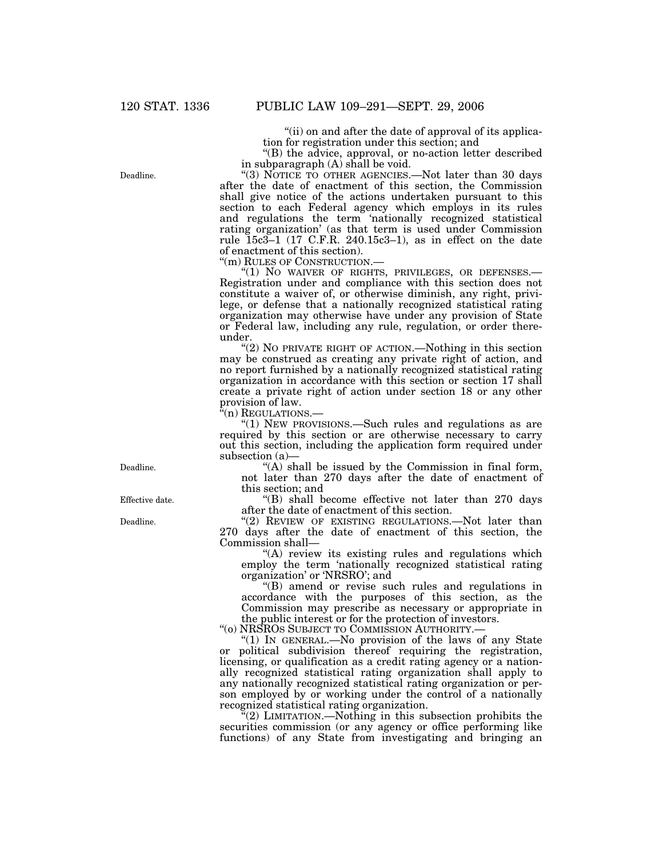"(ii) on and after the date of approval of its application for registration under this section; and

''(B) the advice, approval, or no-action letter described in subparagraph (A) shall be void.

''(3) NOTICE TO OTHER AGENCIES.—Not later than 30 days after the date of enactment of this section, the Commission shall give notice of the actions undertaken pursuant to this section to each Federal agency which employs in its rules and regulations the term 'nationally recognized statistical rating organization' (as that term is used under Commission rule 15c3–1 (17 C.F.R. 240.15c3–1), as in effect on the date of enactment of this section).<br>"(m) RULES OF CONSTRUCTION.

''(m) RULES OF CONSTRUCTION.— ''(1) NO WAIVER OF RIGHTS, PRIVILEGES, OR DEFENSES.— Registration under and compliance with this section does not constitute a waiver of, or otherwise diminish, any right, privilege, or defense that a nationally recognized statistical rating organization may otherwise have under any provision of State or Federal law, including any rule, regulation, or order thereunder.

''(2) NO PRIVATE RIGHT OF ACTION.—Nothing in this section may be construed as creating any private right of action, and no report furnished by a nationally recognized statistical rating organization in accordance with this section or section 17 shall create a private right of action under section 18 or any other provision of law.

"(n) REGULATIONS.—

''(1) NEW PROVISIONS.—Such rules and regulations as are required by this section or are otherwise necessary to carry out this section, including the application form required under subsection (a)—

"(A) shall be issued by the Commission in final form, not later than 270 days after the date of enactment of this section; and

''(B) shall become effective not later than 270 days after the date of enactment of this section.

"(2) REVIEW OF EXISTING REGULATIONS.—Not later than 270 days after the date of enactment of this section, the Commission shall—

"(A) review its existing rules and regulations which employ the term 'nationally recognized statistical rating organization' or 'NRSRO'; and

''(B) amend or revise such rules and regulations in accordance with the purposes of this section, as the Commission may prescribe as necessary or appropriate in the public interest or for the protection of investors.

''(o) NRSROS SUBJECT TO COMMISSION AUTHORITY.—

''(1) IN GENERAL.—No provision of the laws of any State or political subdivision thereof requiring the registration, licensing, or qualification as a credit rating agency or a nationally recognized statistical rating organization shall apply to any nationally recognized statistical rating organization or person employed by or working under the control of a nationally recognized statistical rating organization.

 $\sqrt[4]{(2)}$  LIMITATION.—Nothing in this subsection prohibits the securities commission (or any agency or office performing like functions) of any State from investigating and bringing an

Deadline.

Effective date.

Deadline.

Deadline.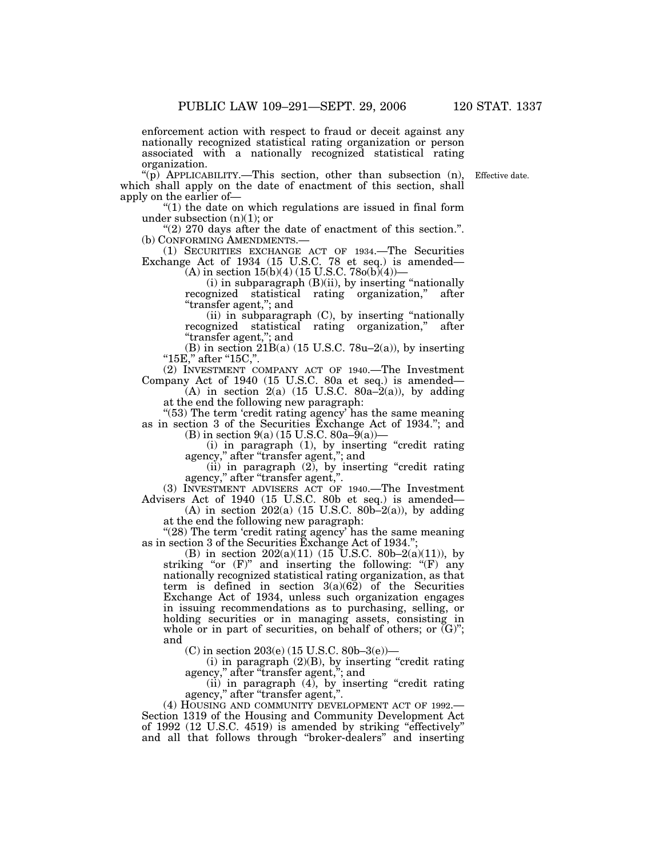enforcement action with respect to fraud or deceit against any nationally recognized statistical rating organization or person associated with a nationally recognized statistical rating organization.

Effective date.

"(p) APPLICABILITY.—This section, other than subsection  $(n)$ , which shall apply on the date of enactment of this section, shall apply on the earlier of—

" $(1)$  the date on which regulations are issued in final form under subsection  $(n)(1)$ ; or

"(2) 270 days after the date of enactment of this section.".<br>(b) CONFORMING AMENDMENTS.—

(1) SECURITIES EXCHANGE ACT OF 1934.—The Securities Exchange Act of 1934 (15 U.S.C. 78 et seq.) is amended—  $(A)$  in section 15(b)(4) (15 U.S.C. 78o(b)(4))–

(i) in subparagraph (B)(ii), by inserting ''nationally recognized statistical rating organization,'' after ''transfer agent,''; and

(ii) in subparagraph (C), by inserting ''nationally recognized statistical rating organization,'' after ''transfer agent,''; and

 $(B)$  in section  $21B(a)$  (15 U.S.C. 78u–2(a)), by inserting  $"15E,"$  after  $"15C,"$ .

(2) INVESTMENT COMPANY ACT OF 1940.—The Investment Company Act of 1940 (15 U.S.C. 80a et seq.) is amended—

 $(A)$  in section 2(a) (15 U.S.C. 80a–2(a)), by adding at the end the following new paragraph:

" $(53)$  The term 'credit rating agency' has the same meaning as in section 3 of the Securities Exchange Act of 1934.''; and (B) in section 9(a) (15 U.S.C. 80a–9(a))–

(i) in paragraph (1), by inserting ''credit rating agency,'' after ''transfer agent,''; and

(ii) in paragraph (2), by inserting ''credit rating agency," after "transfer agent,".

(3) INVESTMENT ADVISERS ACT OF 1940.—The Investment Advisers Act of 1940 (15 U.S.C. 80b et seq.) is amended—

(A) in section  $202(a)$  (15 U.S.C. 80b–2(a)), by adding at the end the following new paragraph:

"(28) The term 'credit rating agency' has the same meaning as in section 3 of the Securities Exchange Act of 1934.'';

(B) in section  $202(a)(11)$  (15 U.S.C. 80b–2(a)(11)), by striking "or  $(F)$ " and inserting the following: " $(F)$  any nationally recognized statistical rating organization, as that term is defined in section  $3(a)(62)$  of the Securities Exchange Act of 1934, unless such organization engages in issuing recommendations as to purchasing, selling, or holding securities or in managing assets, consisting in whole or in part of securities, on behalf of others; or  $(G)$ "; and

(C) in section  $203(e)$  (15 U.S.C.  $80b-3(e)$ )

(i) in paragraph  $(2)(B)$ , by inserting "credit rating" agency,'' after ''transfer agent,''; and

(ii) in paragraph  $(4)$ , by inserting "credit rating agency," after "transfer agent,".

(4) HOUSING AND COMMUNITY DEVELOPMENT ACT OF 1992.— Section 1319 of the Housing and Community Development Act of 1992 (12 U.S.C. 4519) is amended by striking ''effectively'' and all that follows through ''broker-dealers'' and inserting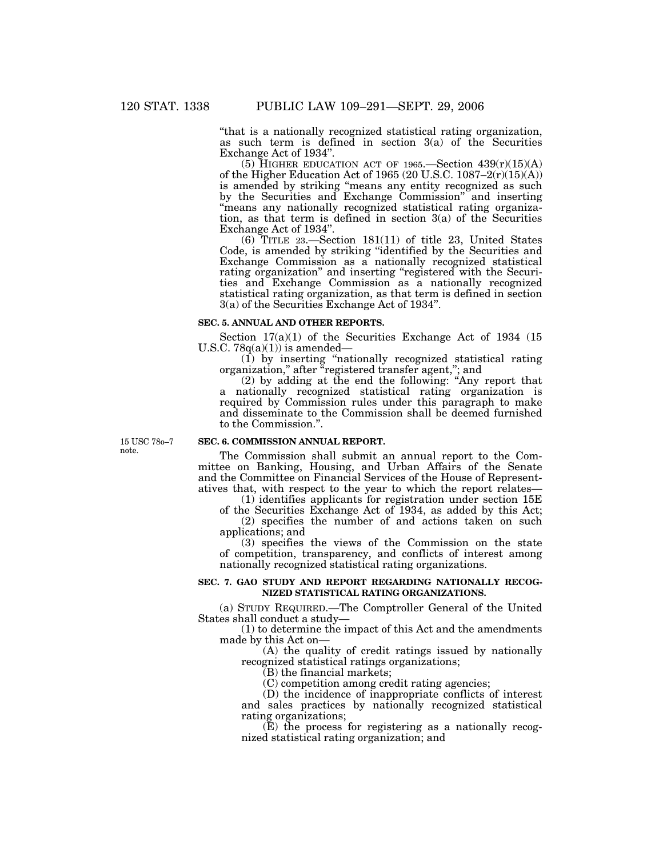''that is a nationally recognized statistical rating organization, as such term is defined in section 3(a) of the Securities Exchange Act of 1934''.

(5) HIGHER EDUCATION ACT OF 1965.—Section  $439(r)(15)(A)$ of the Higher Education Act of 1965 (20 U.S.C.  $1087-2(r)(15)(A)$ ) is amended by striking ''means any entity recognized as such by the Securities and Exchange Commission'' and inserting ''means any nationally recognized statistical rating organization, as that term is defined in section 3(a) of the Securities Exchange Act of 1934''.

(6) TITLE 23.—Section 181(11) of title 23, United States Code, is amended by striking ''identified by the Securities and Exchange Commission as a nationally recognized statistical rating organization" and inserting "registered with the Securities and Exchange Commission as a nationally recognized statistical rating organization, as that term is defined in section 3(a) of the Securities Exchange Act of 1934''.

#### **SEC. 5. ANNUAL AND OTHER REPORTS.**

Section  $17(a)(1)$  of the Securities Exchange Act of 1934 (15 U.S.C.  $78q(a)(1)$  is amended—

(1) by inserting ''nationally recognized statistical rating organization,'' after ''registered transfer agent,''; and

(2) by adding at the end the following: ''Any report that a nationally recognized statistical rating organization is required by Commission rules under this paragraph to make and disseminate to the Commission shall be deemed furnished to the Commission.''.

# 15 USC 78<sub>0</sub>–7 **SEC. 6. COMMISSION ANNUAL REPORT.** note.

The Commission shall submit an annual report to the Committee on Banking, Housing, and Urban Affairs of the Senate and the Committee on Financial Services of the House of Representatives that, with respect to the year to which the report relates—

(1) identifies applicants for registration under section 15E of the Securities Exchange Act of 1934, as added by this Act;

(2) specifies the number of and actions taken on such applications; and

(3) specifies the views of the Commission on the state of competition, transparency, and conflicts of interest among nationally recognized statistical rating organizations.

#### **SEC. 7. GAO STUDY AND REPORT REGARDING NATIONALLY RECOG-NIZED STATISTICAL RATING ORGANIZATIONS.**

(a) STUDY REQUIRED.—The Comptroller General of the United States shall conduct a study—

(1) to determine the impact of this Act and the amendments made by this Act on—

(A) the quality of credit ratings issued by nationally recognized statistical ratings organizations;

(B) the financial markets;

(C) competition among credit rating agencies;

(D) the incidence of inappropriate conflicts of interest and sales practices by nationally recognized statistical rating organizations;

(E) the process for registering as a nationally recognized statistical rating organization; and